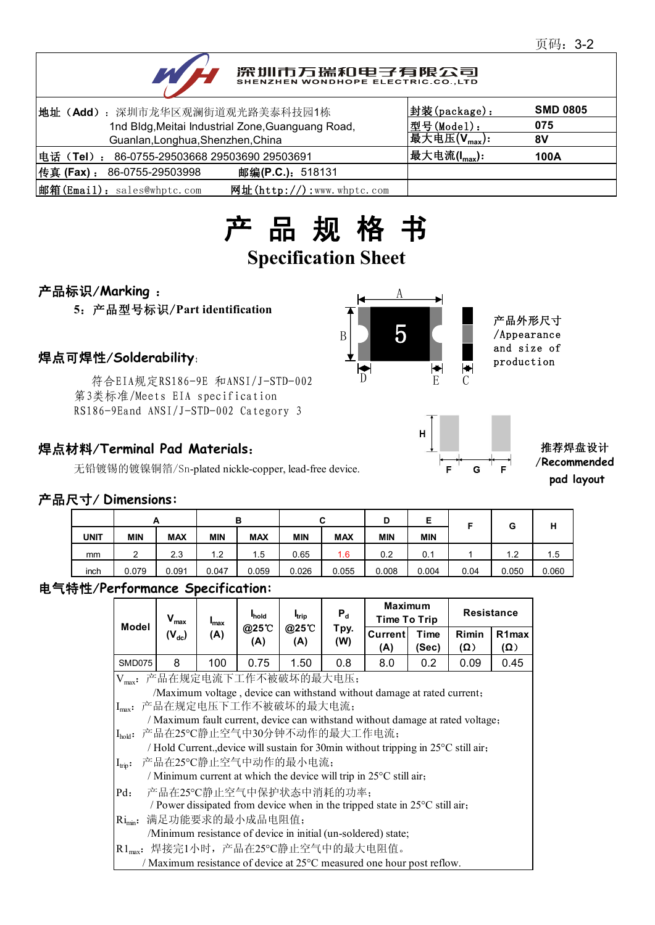# 深圳市万瑞和电子有限公司

| 地址 (Add): 深圳市龙华区观澜街道观光路美泰科技园1栋                              | 封装(package):                | <b>SMD 0805</b> |
|-------------------------------------------------------------|-----------------------------|-----------------|
| 1nd Bldg, Meitai Industrial Zone, Guanguang Road,           | 型号(Model):                  | 075             |
| Guanlan, Longhua, Shenzhen, China                           | 最大电压 $(\mathsf{V_{max}})$ : | 8V              |
| 电话(Tel): 86-0755-29503668 29503690 29503691                 | 最大电流(I <sub>max</sub> ):    | 100A            |
| 传真 (Fax) :<br>邮编(P.C.): 518131<br>86-0755-29503998          |                             |                 |
| 邮箱(Email): sales@whptc.com<br>网址( $http://$ ):www.whptc.com |                             |                 |

# 产 品 规 格 书

## **Specification Sheet**

### 产品标识/**Marking** :

**5**:产品型号标识/**Part identification**

<del>1</del><br>符合EIA规定RS186-9E 和ANSI/J-STD-002 D 第3类标准/Meets EIA specification RS186-9Eand ANSI/J-STD-002 Category 3

### 焊点材料/**Terminal Pad Materials**:

无铅镀锡的镀镍铜箔/Sn-plated nickle-copper, lead-free device.





#### 推荐焊盘设计 /**Recommended pad layout**

### 产品尺寸/ **Dimensions:**

|             | A             |            |            | в          |            | ~<br>u     | D          | Е          |      | G     | ш     |
|-------------|---------------|------------|------------|------------|------------|------------|------------|------------|------|-------|-------|
| <b>UNIT</b> | <b>MIN</b>    | <b>MAX</b> | <b>MIN</b> | <b>MAX</b> | <b>MIN</b> | <b>MAX</b> | <b>MIN</b> | <b>MIN</b> |      |       | п     |
| mm          | ົ<br><u>.</u> | 2.3        | 1.2        | 1.5        | 0.65       | 1.6        | 0.2        | 0.1        |      | 1.2   | 1.5   |
| inch        | 0.079         | 0.091      | 0.047      | 0.059      | 0.026      | 0.055      | 0.008      | 0.004      | 0.04 | 0.050 | 0.060 |

## 电气特性/**Performance Specification:**

| Model                                                                              | $V_{\text{max}}$                                                                   | $I_{\text{max}}$ | <b>I</b> hold<br>@25°C<br>(A) | <b>I</b> trip<br>@25 C<br>(A) | $P_{d}$<br>Tpy.<br>(W) | <b>Maximum</b><br><b>Time To Trip</b>                                       |               | <b>Resistance</b>   |                                  |  |  |
|------------------------------------------------------------------------------------|------------------------------------------------------------------------------------|------------------|-------------------------------|-------------------------------|------------------------|-----------------------------------------------------------------------------|---------------|---------------------|----------------------------------|--|--|
|                                                                                    | $(V_{dc})$                                                                         | (A)              |                               |                               |                        | <b>Current</b><br>(A)                                                       | Time<br>(Sec) | Rimin<br>$(\Omega)$ | R <sub>1</sub> max<br>$(\Omega)$ |  |  |
| <b>SMD075</b>                                                                      | 8                                                                                  | 100              | 0.75                          | 1.50                          | 0.8                    | 8.0                                                                         | 0.2           | 0.09                | 0.45                             |  |  |
| Vmax: 产品在规定电流下工作不被破坏的最大电压;                                                         |                                                                                    |                  |                               |                               |                        |                                                                             |               |                     |                                  |  |  |
| /Maximum voltage, device can withstand without damage at rated current;            |                                                                                    |                  |                               |                               |                        |                                                                             |               |                     |                                  |  |  |
|                                                                                    | Imax: 产品在规定电压下工作不被破坏的最大电流;                                                         |                  |                               |                               |                        |                                                                             |               |                     |                                  |  |  |
| / Maximum fault current, device can withstand without damage at rated voltage;     |                                                                                    |                  |                               |                               |                        |                                                                             |               |                     |                                  |  |  |
|                                                                                    | Ihold: 产品在25℃静止空气中30分钟不动作的最大工作电流;                                                  |                  |                               |                               |                        |                                                                             |               |                     |                                  |  |  |
|                                                                                    | / Hold Current., device will sustain for 30min without tripping in 25°C still air, |                  |                               |                               |                        |                                                                             |               |                     |                                  |  |  |
| 产品在25°C静止空气中动作的最小电流;<br>$I_{trip}$ :                                               |                                                                                    |                  |                               |                               |                        |                                                                             |               |                     |                                  |  |  |
| / Minimum current at which the device will trip in $25^{\circ}$ C still air,       |                                                                                    |                  |                               |                               |                        |                                                                             |               |                     |                                  |  |  |
| Pd:                                                                                | 产品在25°C静止空气中保护状态中消耗的功率;                                                            |                  |                               |                               |                        |                                                                             |               |                     |                                  |  |  |
|                                                                                    |                                                                                    |                  |                               |                               |                        | / Power dissipated from device when in the tripped state in 25°C still air, |               |                     |                                  |  |  |
| $\text{Ri}_{\text{min}}$ :                                                         | 满足功能要求的最小成品电阻值;                                                                    |                  |                               |                               |                        |                                                                             |               |                     |                                  |  |  |
|                                                                                    |                                                                                    |                  |                               |                               |                        | /Minimum resistance of device in initial (un-soldered) state;               |               |                     |                                  |  |  |
|                                                                                    | R1 <sub>max</sub> : 焊接完1小时, 产品在25℃静止空气中的最大电阻值。                                     |                  |                               |                               |                        |                                                                             |               |                     |                                  |  |  |
| / Maximum resistance of device at 25 <sup>o</sup> C measured one hour post reflow. |                                                                                    |                  |                               |                               |                        |                                                                             |               |                     |                                  |  |  |